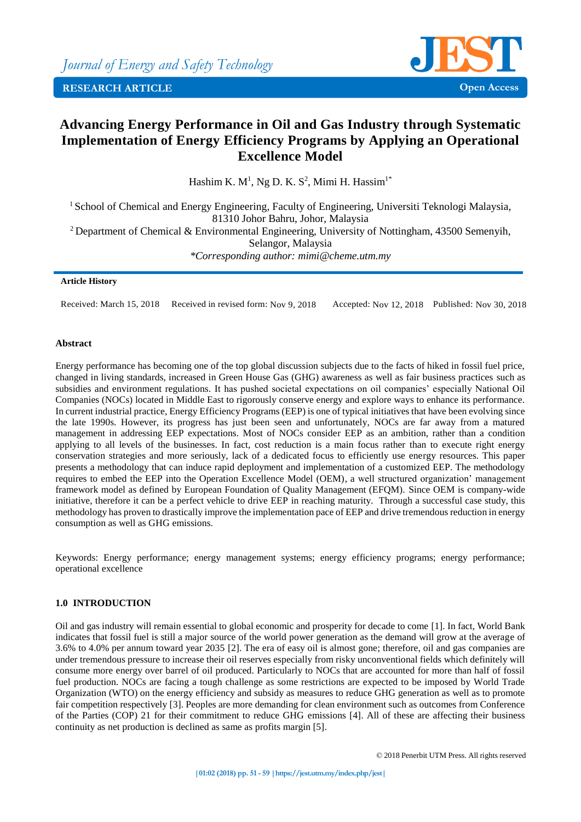

# **Advancing Energy Performance in Oil and Gas Industry through Systematic Implementation of Energy Efficiency Programs by Applying an Operational Excellence Model**

Hashim K.  $M<sup>1</sup>$ , Ng D. K. S<sup>2</sup>, Mimi H. Hassim<sup>1\*</sup>

<sup>1</sup> School of Chemical and Energy Engineering, Faculty of Engineering, Universiti Teknologi Malaysia, 81310 Johor Bahru, Johor, Malaysia

<sup>2</sup> Department of Chemical & Environmental Engineering, University of Nottingham, 43500 Semenyih, Selangor, Malaysia *\*Corresponding author: mimi@cheme.utm.my*

#### **Article History**

Received: March 15, 2018 Received in revised form: Nov 9, 2018 Accepted: Nov 12, 2018 Published: Nov 30, 2018

#### **Abstract**

Energy performance has becoming one of the top global discussion subjects due to the facts of hiked in fossil fuel price, changed in living standards, increased in Green House Gas (GHG) awareness as well as fair business practices such as subsidies and environment regulations. It has pushed societal expectations on oil companies' especially National Oil Companies (NOCs) located in Middle East to rigorously conserve energy and explore ways to enhance its performance. In current industrial practice, Energy Efficiency Programs (EEP) is one of typical initiatives that have been evolving since the late 1990s. However, its progress has just been seen and unfortunately, NOCs are far away from a matured management in addressing EEP expectations. Most of NOCs consider EEP as an ambition, rather than a condition applying to all levels of the businesses. In fact, cost reduction is a main focus rather than to execute right energy conservation strategies and more seriously, lack of a dedicated focus to efficiently use energy resources. This paper presents a methodology that can induce rapid deployment and implementation of a customized EEP. The methodology requires to embed the EEP into the Operation Excellence Model (OEM), a well structured organization' management framework model as defined by European Foundation of Quality Management (EFQM). Since OEM is company-wide initiative, therefore it can be a perfect vehicle to drive EEP in reaching maturity. Through a successful case study, this methodology has proven to drastically improve the implementation pace of EEP and drive tremendous reduction in energy consumption as well as GHG emissions.

Keywords: Energy performance; energy management systems; energy efficiency programs; energy performance; operational excellence

## **1.0 INTRODUCTION**

Oil and gas industry will remain essential to global economic and prosperity for decade to come [1]. In fact, World Bank indicates that fossil fuel is still a major source of the world power generation as the demand will grow at the average of 3.6% to 4.0% per annum toward year 2035 [2]. The era of easy oil is almost gone; therefore, oil and gas companies are under tremendous pressure to increase their oil reserves especially from risky unconventional fields which definitely will consume more energy over barrel of oil produced. Particularly to NOCs that are accounted for more than half of fossil fuel production. NOCs are facing a tough challenge as some restrictions are expected to be imposed by World Trade Organization (WTO) on the energy efficiency and subsidy as measures to reduce GHG generation as well as to promote fair competition respectively [3]. Peoples are more demanding for clean environment such as outcomes from Conference of the Parties (COP) 21 for their commitment to reduce GHG emissions [4]. All of these are affecting their business continuity as net production is declined as same as profits margin [5].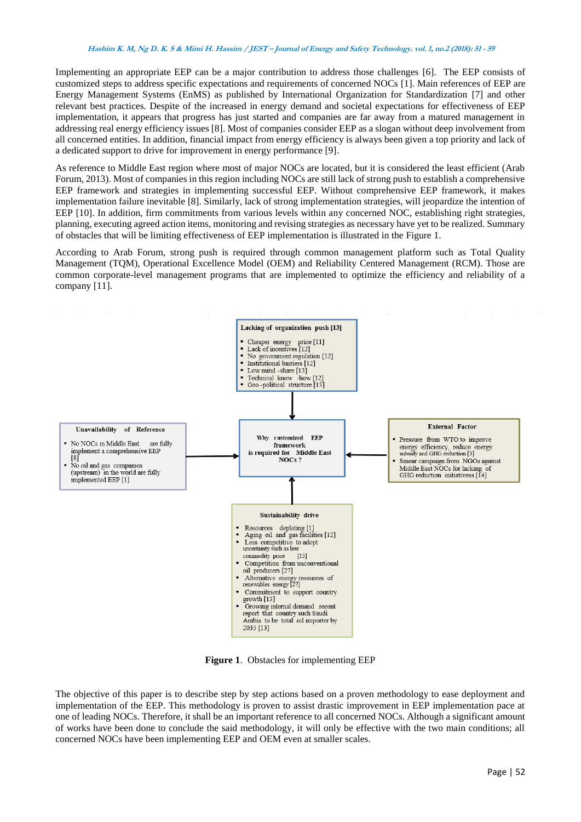#### **Hashim K. M, Ng D. K. S & Mimi H. Hassim / JEST – Journal of Energy and Safety Technology. vol. 1, no.2 (2018): <sup>51</sup> - <sup>59</sup>**

Implementing an appropriate EEP can be a major contribution to address those challenges [6]. The EEP consists of customized steps to address specific expectations and requirements of concerned NOCs [1]. Main references of EEP are Energy Management Systems (EnMS) as published by International Organization for Standardization [7] and other relevant best practices. Despite of the increased in energy demand and societal expectations for effectiveness of EEP implementation, it appears that progress has just started and companies are far away from a matured management in addressing real energy efficiency issues [8]. Most of companies consider EEP as a slogan without deep involvement from all concerned entities. In addition, financial impact from energy efficiency is always been given a top priority and lack of a dedicated support to drive for improvement in energy performance [9].

As reference to Middle East region where most of major NOCs are located, but it is considered the least efficient (Arab Forum, 2013). Most of companies in this region including NOCs are still lack of strong push to establish a comprehensive EEP framework and strategies in implementing successful EEP. Without comprehensive EEP framework, it makes implementation failure inevitable [8]. Similarly, lack of strong implementation strategies, will jeopardize the intention of EEP [10]. In addition, firm commitments from various levels within any concerned NOC, establishing right strategies, planning, executing agreed action items, monitoring and revising strategies as necessary have yet to be realized. Summary of obstacles that will be limiting effectiveness of EEP implementation is illustrated in the Figure 1.

According to Arab Forum, strong push is required through common management platform such as Total Quality Management (TQM), Operational Excellence Model (OEM) and Reliability Centered Management (RCM). Those are common corporate-level management programs that are implemented to optimize the efficiency and reliability of a company [11].



**Figure 1**. Obstacles for implementing EEP

The objective of this paper is to describe step by step actions based on a proven methodology to ease deployment and implementation of the EEP. This methodology is proven to assist drastic improvement in EEP implementation pace at one of leading NOCs. Therefore, it shall be an important reference to all concerned NOCs. Although a significant amount of works have been done to conclude the said methodology, it will only be effective with the two main conditions; all concerned NOCs have been implementing EEP and OEM even at smaller scales.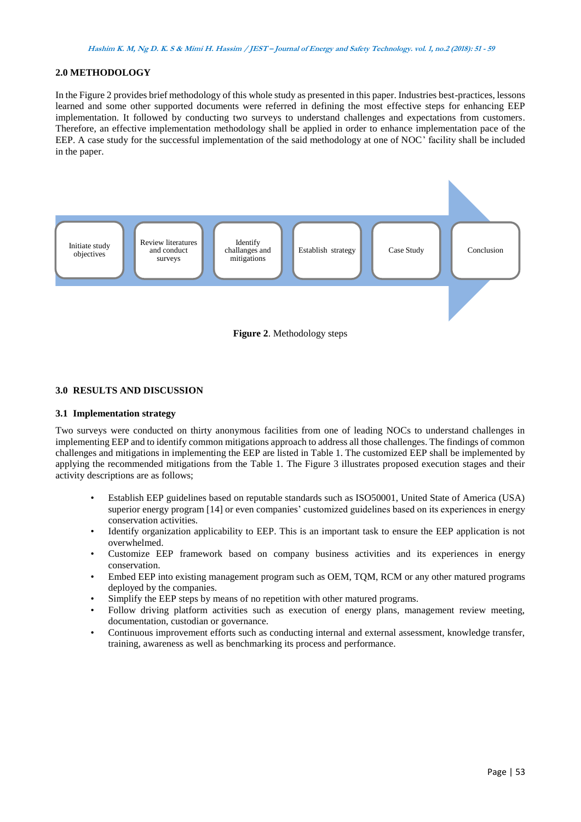# **2.0 METHODOLOGY**

In the Figure 2 provides brief methodology of this whole study as presented in this paper. Industries best-practices, lessons learned and some other supported documents were referred in defining the most effective steps for enhancing EEP implementation. It followed by conducting two surveys to understand challenges and expectations from customers. Therefore, an effective implementation methodology shall be applied in order to enhance implementation pace of the EEP. A case study for the successful implementation of the said methodology at one of NOC' facility shall be included in the paper.





# **3.0 RESULTS AND DISCUSSION**

## **3.1 Implementation strategy**

Two surveys were conducted on thirty anonymous facilities from one of leading NOCs to understand challenges in implementing EEP and to identify common mitigations approach to address all those challenges. The findings of common challenges and mitigations in implementing the EEP are listed in Table 1. The customized EEP shall be implemented by applying the recommended mitigations from the Table 1. The Figure 3 illustrates proposed execution stages and their activity descriptions are as follows;

- Establish EEP guidelines based on reputable standards such as ISO50001, United State of America (USA) superior energy program [14] or even companies' customized guidelines based on its experiences in energy conservation activities.
- Identify organization applicability to EEP. This is an important task to ensure the EEP application is not overwhelmed.
- Customize EEP framework based on company business activities and its experiences in energy conservation.
- Embed EEP into existing management program such as OEM, TQM, RCM or any other matured programs deployed by the companies.
- Simplify the EEP steps by means of no repetition with other matured programs.
- Follow driving platform activities such as execution of energy plans, management review meeting, documentation, custodian or governance.
- Continuous improvement efforts such as conducting internal and external assessment, knowledge transfer, training, awareness as well as benchmarking its process and performance.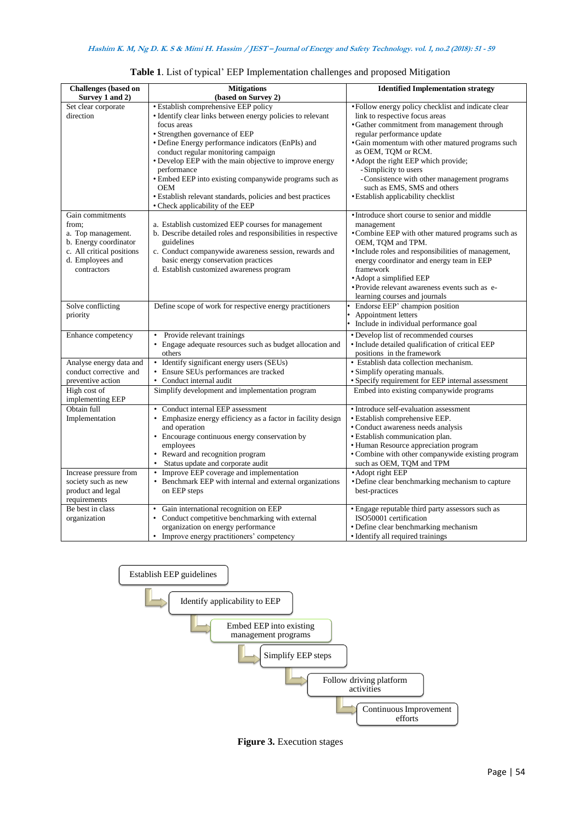| <b>Challenges</b> (based on | <b>Mitigations</b>                                                     | <b>Identified Implementation strategy</b>                                   |
|-----------------------------|------------------------------------------------------------------------|-----------------------------------------------------------------------------|
| Survey 1 and 2)             | (based on Survey 2)                                                    |                                                                             |
| Set clear corporate         | <b>• Establish comprehensive EEP policy</b>                            | • Follow energy policy checklist and indicate clear                         |
| direction                   | • Identify clear links between energy policies to relevant             | link to respective focus areas                                              |
|                             | focus areas                                                            | • Gather commitment from management through                                 |
|                             | • Strengthen governance of EEP                                         | regular performance update                                                  |
|                             | • Define Energy performance indicators (EnPIs) and                     | • Gain momentum with other matured programs such                            |
|                             | conduct regular monitoring campaign                                    | as OEM, TQM or RCM.                                                         |
|                             | • Develop EEP with the main objective to improve energy<br>performance | • Adopt the right EEP which provide;<br>-Simplicity to users                |
|                             | • Embed EEP into existing companywide programs such as<br><b>OEM</b>   | - Consistence with other management programs<br>such as EMS, SMS and others |
|                             | • Establish relevant standards, policies and best practices            | • Establish applicability checklist                                         |
|                             | • Check applicability of the EEP                                       |                                                                             |
| Gain commitments            |                                                                        | • Introduce short course to senior and middle                               |
| from:                       | a. Establish customized EEP courses for management                     | management                                                                  |
| a. Top management.          | b. Describe detailed roles and responsibilities in respective          | •Combine EEP with other matured programs such as                            |
| b. Energy coordinator       | guidelines                                                             | OEM, TQM and TPM.                                                           |
| c. All critical positions   | c. Conduct companywide awareness session, rewards and                  | · Include roles and responsibilities of management,                         |
| d. Employees and            | basic energy conservation practices                                    | energy coordinator and energy team in EEP                                   |
| contractors                 | d. Establish customized awareness program                              | framework                                                                   |
|                             |                                                                        | • Adopt a simplified EEP                                                    |
|                             |                                                                        | • Provide relevant awareness events such as e-                              |
|                             |                                                                        | learning courses and journals                                               |
| Solve conflicting           | Define scope of work for respective energy practitioners               | Endorse EEP' champion position                                              |
| priority                    |                                                                        | Appointment letters                                                         |
|                             |                                                                        | Include in individual performance goal                                      |
| Enhance competency          | • Provide relevant trainings                                           | • Develop list of recommended courses                                       |
|                             | • Engage adequate resources such as budget allocation and              | • Include detailed qualification of critical EEP                            |
|                             | others                                                                 | positions in the framework                                                  |
| Analyse energy data and     | • Identify significant energy users (SEUs)                             | • Establish data collection mechanism.                                      |
| conduct corrective and      | • Ensure SEUs performances are tracked                                 | • Simplify operating manuals.                                               |
| preventive action           | • Conduct internal audit                                               | • Specify requirement for EEP internal assessment                           |
| High cost of                | Simplify development and implementation program                        | Embed into existing companywide programs                                    |
| implementing EEP            |                                                                        |                                                                             |
| Obtain full                 | • Conduct internal EEP assessment                                      | • Introduce self-evaluation assessment                                      |
| Implementation              | • Emphasize energy efficiency as a factor in facility design           | • Establish comprehensive EEP.                                              |
|                             | and operation                                                          | • Conduct awareness needs analysis                                          |
|                             | • Encourage continuous energy conservation by                          | • Establish communication plan.                                             |
|                             | employees                                                              | • Human Resource appreciation program                                       |
|                             | • Reward and recognition program                                       | • Combine with other companywide existing program                           |
|                             | Status update and corporate audit<br>$\bullet$                         | such as OEM, TQM and TPM                                                    |
| Increase pressure from      | • Improve EEP coverage and implementation                              | • Adopt right EEP                                                           |
| society such as new         | • Benchmark EEP with internal and external organizations               | • Define clear benchmarking mechanism to capture                            |
| product and legal           | on EEP steps                                                           | best-practices                                                              |
| requirements                |                                                                        |                                                                             |
| Be best in class            | Gain international recognition on EEP                                  | · Engage reputable third party assessors such as                            |
| organization                | • Conduct competitive benchmarking with external                       | ISO50001 certification                                                      |
|                             | organization on energy performance                                     | • Define clear benchmarking mechanism                                       |
|                             | • Improve energy practitioners' competency                             | • Identify all required trainings                                           |

| Table 1. List of typical' EEP Implementation challenges and proposed Mitigation |  |  |  |
|---------------------------------------------------------------------------------|--|--|--|
|---------------------------------------------------------------------------------|--|--|--|



**Figure 3.** Execution stages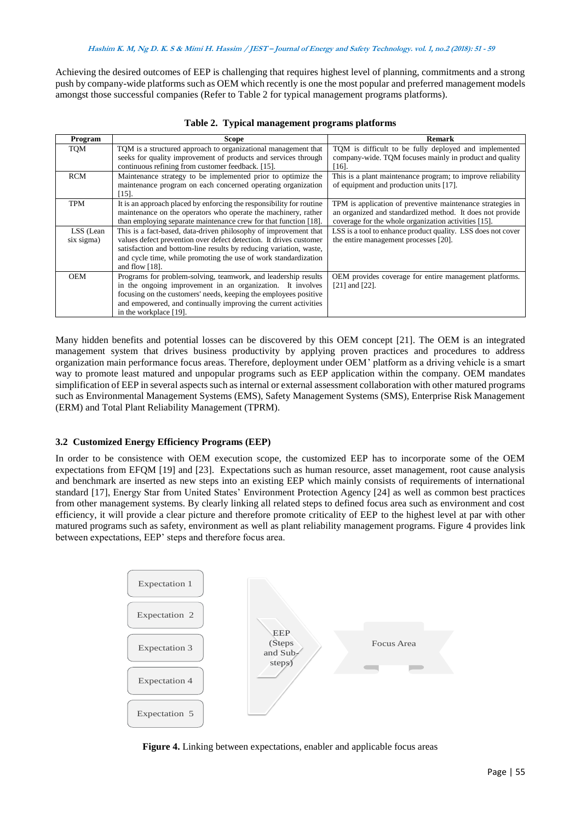Achieving the desired outcomes of EEP is challenging that requires highest level of planning, commitments and a strong push by company-wide platforms such as OEM which recently is one the most popular and preferred management models amongst those successful companies (Refer to Table 2 for typical management programs platforms).

| Program                 | Scope                                                                                                                                                                                                                                                                                                | Remark                                                                                                                                                                          |
|-------------------------|------------------------------------------------------------------------------------------------------------------------------------------------------------------------------------------------------------------------------------------------------------------------------------------------------|---------------------------------------------------------------------------------------------------------------------------------------------------------------------------------|
| TOM                     | TQM is a structured approach to organizational management that<br>seeks for quality improvement of products and services through<br>continuous refining from customer feedback. [15].                                                                                                                | TQM is difficult to be fully deployed and implemented<br>company-wide. TQM focuses mainly in product and quality<br>$[16]$ .                                                    |
| <b>RCM</b>              | Maintenance strategy to be implemented prior to optimize the<br>maintenance program on each concerned operating organization<br>$[15]$ .                                                                                                                                                             | This is a plant maintenance program; to improve reliability<br>of equipment and production units [17].                                                                          |
| <b>TPM</b>              | It is an approach placed by enforcing the responsibility for routine<br>maintenance on the operators who operate the machinery, rather<br>than employing separate maintenance crew for that function [18].                                                                                           | TPM is application of preventive maintenance strategies in<br>an organized and standardized method. It does not provide<br>coverage for the whole organization activities [15]. |
| LSS (Lean<br>six sigma) | This is a fact-based, data-driven philosophy of improvement that<br>values defect prevention over defect detection. It drives customer<br>satisfaction and bottom-line results by reducing variation, waste,<br>and cycle time, while promoting the use of work standardization<br>and flow $[18]$ . | LSS is a tool to enhance product quality. LSS does not cover<br>the entire management processes [20].                                                                           |
| <b>OEM</b>              | Programs for problem-solving, teamwork, and leadership results<br>in the ongoing improvement in an organization. It involves<br>focusing on the customers' needs, keeping the employees positive<br>and empowered, and continually improving the current activities<br>in the workplace [19].        | OEM provides coverage for entire management platforms.<br>$[21]$ and $[22]$ .                                                                                                   |

|  |  |  | Table 2. Typical management programs platforms |  |  |
|--|--|--|------------------------------------------------|--|--|
|--|--|--|------------------------------------------------|--|--|

Many hidden benefits and potential losses can be discovered by this OEM concept [21]. The OEM is an integrated management system that drives business productivity by applying proven practices and procedures to address organization main performance focus areas. Therefore, deployment under OEM' platform as a driving vehicle is a smart way to promote least matured and unpopular programs such as EEP application within the company. OEM mandates simplification of EEP in several aspects such as internal or external assessment collaboration with other matured programs such as Environmental Management Systems (EMS), Safety Management Systems (SMS), Enterprise Risk Management (ERM) and Total Plant Reliability Management (TPRM).

## **3.2 Customized Energy Efficiency Programs (EEP)**

In order to be consistence with OEM execution scope, the customized EEP has to incorporate some of the OEM expectations from EFQM [19] and [23]. Expectations such as human resource, asset management, root cause analysis and benchmark are inserted as new steps into an existing EEP which mainly consists of requirements of international standard [17], Energy Star from United States' Environment Protection Agency [24] as well as common best practices from other management systems. By clearly linking all related steps to defined focus area such as environment and cost efficiency, it will provide a clear picture and therefore promote criticality of EEP to the highest level at par with other matured programs such as safety, environment as well as plant reliability management programs. Figure 4 provides link matured programs such as safety, environment as well as plant rehability manager<br>between expectations, EEP' steps and therefore focus area.



**Figure 4.** Linking between expectations, enabler and applicable focus areas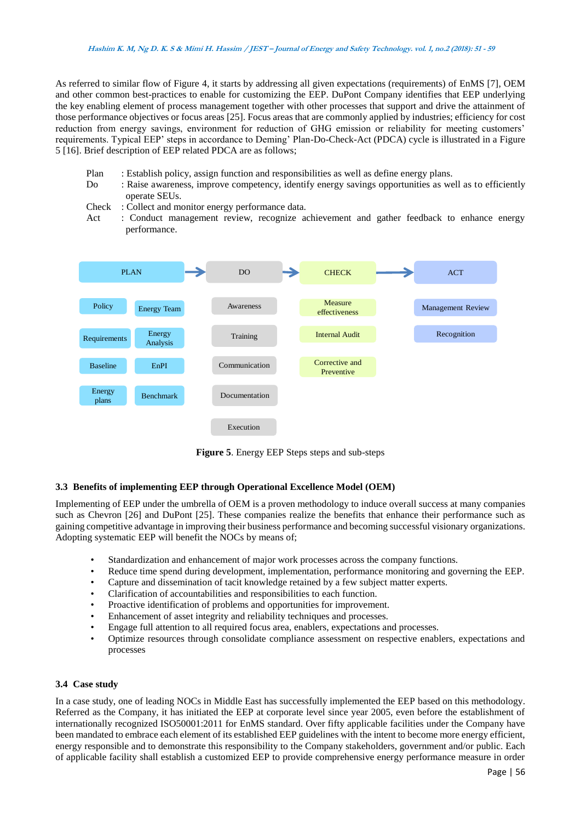As referred to similar flow of Figure 4, it starts by addressing all given expectations (requirements) of EnMS [7], OEM and other common best-practices to enable for customizing the EEP. DuPont Company identifies that EEP underlying the key enabling element of process management together with other processes that support and drive the attainment of those performance objectives or focus areas [25]. Focus areas that are commonly applied by industries; efficiency for cost reduction from energy savings, environment for reduction of GHG emission or reliability for meeting customers' requirements. Typical EEP' steps in accordance to Deming' Plan-Do-Check-Act (PDCA) cycle is illustrated in a Figure 5 [16]. Brief description of EEP related PDCA are as follows;

- Plan : Establish policy, assign function and responsibilities as well as define energy plans.
- rian Establish policy, assign function and responsibilities as well as define energy plans.<br>Do Baise awareness, improve competency, identify energy savings opportunities as well as to efficiently operate SEUs.
	- Check : Collect and monitor energy performance data.
- Lifeck : Conect and montion energy performance data.<br>Act : Conduct management review, recognize achievement and gather feedback to enhance energy performance.



**Figure 5**. Energy EEP Steps steps and sub-steps

## **3.3 Benefits of implementing EEP through Operational Excellence Model (OEM)**

Implementing of EEP under the umbrella of OEM is a proven methodology to induce overall success at many companies such as Chevron [26] and DuPont [25]. These companies realize the benefits that enhance their performance such as gaining competitive advantage in improving their business performance and becoming successful visionary organizations. Adopting systematic EEP will benefit the NOCs by means of;

- Standardization and enhancement of major work processes across the company functions.
- Reduce time spend during development, implementation, performance monitoring and governing the EEP.
- Capture and dissemination of tacit knowledge retained by a few subject matter experts.
- Clarification of accountabilities and responsibilities to each function.
- Proactive identification of problems and opportunities for improvement.
- Enhancement of asset integrity and reliability techniques and processes.
- Engage full attention to all required focus area, enablers, expectations and processes.
- Optimize resources through consolidate compliance assessment on respective enablers, expectations and processes

## **3.4 Case study**

In a case study, one of leading NOCs in Middle East has successfully implemented the EEP based on this methodology. Referred as the Company, it has initiated the EEP at corporate level since year 2005, even before the establishment of internationally recognized ISO50001:2011 for EnMS standard. Over fifty applicable facilities under the Company have been mandated to embrace each element of its established EEP guidelines with the intent to become more energy efficient, energy responsible and to demonstrate this responsibility to the Company stakeholders, government and/or public. Each of applicable facility shall establish a customized EEP to provide comprehensive energy performance measure in order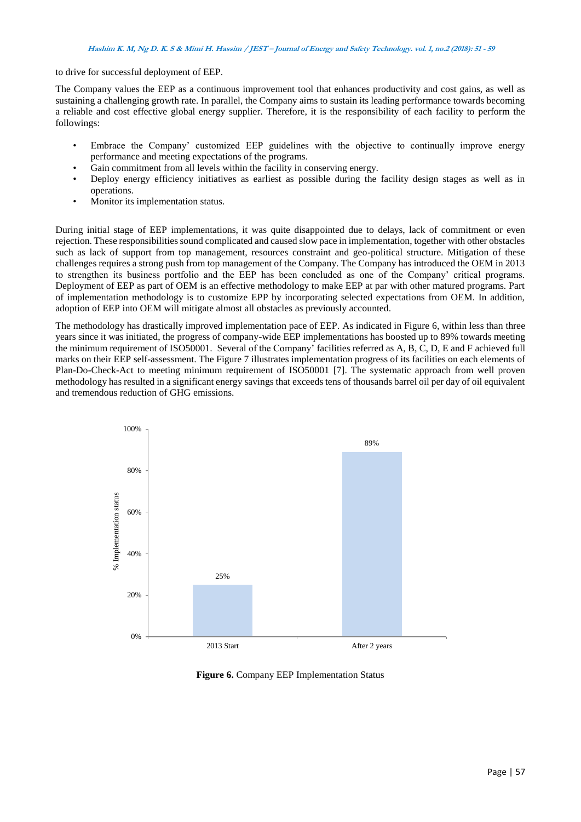to drive for successful deployment of EEP.

The Company values the EEP as a continuous improvement tool that enhances productivity and cost gains, as well as sustaining a challenging growth rate. In parallel, the Company aims to sustain its leading performance towards becoming a reliable and cost effective global energy supplier. Therefore, it is the responsibility of each facility to perform the followings:

- Embrace the Company' customized EEP guidelines with the objective to continually improve energy performance and meeting expectations of the programs.
- Gain commitment from all levels within the facility in conserving energy.
- Deploy energy efficiency initiatives as earliest as possible during the facility design stages as well as in operations.
- Monitor its implementation status.

During initial stage of EEP implementations, it was quite disappointed due to delays, lack of commitment or even rejection. These responsibilities sound complicated and caused slow pace in implementation, together with other obstacles such as lack of support from top management, resources constraint and geo-political structure. Mitigation of these challenges requires a strong push from top management of the Company. The Company has introduced the OEM in 2013 to strengthen its business portfolio and the EEP has been concluded as one of the Company' critical programs. Deployment of EEP as part of OEM is an effective methodology to make EEP at par with other matured programs. Part of implementation methodology is to customize EPP by incorporating selected expectations from OEM. In addition, adoption of EEP into OEM will mitigate almost all obstacles as previously accounted.

The methodology has drastically improved implementation pace of EEP. As indicated in Figure 6, within less than three years since it was initiated, the progress of company-wide EEP implementations has boosted up to 89% towards meeting the minimum requirement of ISO50001. Several of the Company' facilities referred as A, B, C, D, E and F achieved full marks on their EEP self-assessment. The Figure 7 illustrates implementation progress of its facilities on each elements of Plan-Do-Check-Act to meeting minimum requirement of ISO50001 [7]. The systematic approach from well proven methodology has resulted in a significant energy savings that exceeds tens of thousands barrel oil per day of oil equivalent and tremendous reduction of GHG emissions.



**Figure 6.** Company EEP Implementation Status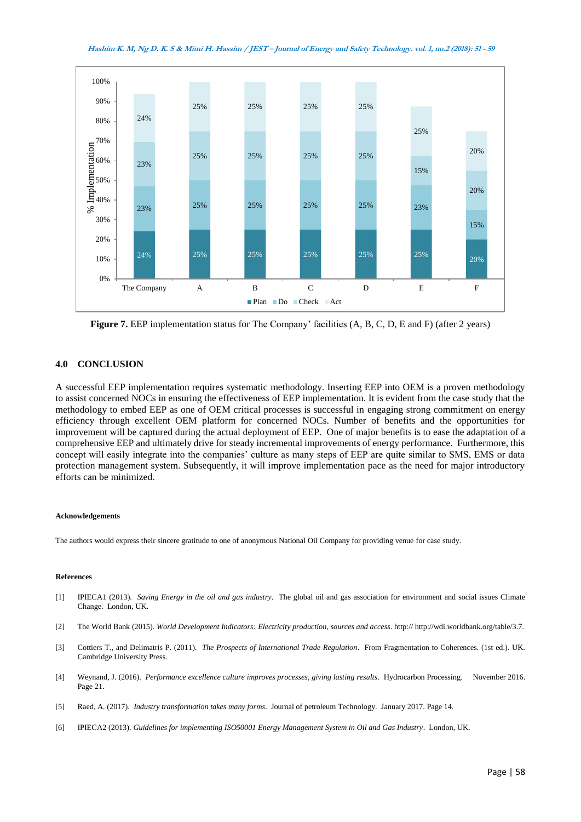**Hashim K. M, Ng D. K. S & Mimi H. Hassim / JEST – Journal of Energy and Safety Technology. vol. 1, no.2 (2018): <sup>51</sup> - <sup>59</sup>**



**Figure 7.** EEP implementation status for The Company' facilities (A, B, C, D, E and F) (after 2 years)

## **4.0 CONCLUSION**

A successful EEP implementation requires systematic methodology. Inserting EEP into OEM is a proven methodology to assist concerned NOCs in ensuring the effectiveness of EEP implementation. It is evident from the case study that the methodology to embed EEP as one of OEM critical processes is successful in engaging strong commitment on energy efficiency through excellent OEM platform for concerned NOCs. Number of benefits and the opportunities for improvement will be captured during the actual deployment of EEP. One of major benefits is to ease the adaptation of a comprehensive EEP and ultimately drive for steady incremental improvements of energy performance. Furthermore, this concept will easily integrate into the companies' culture as many steps of EEP are quite similar to SMS, EMS or data protection management system. Subsequently, it will improve implementation pace as the need for major introductory efforts can be minimized.

#### **Acknowledgements**

The authors would express their sincere gratitude to one of anonymous National Oil Company for providing venue for case study.

#### **References**

- [1] IPIECA1 (2013). *Saving Energy in the oil and gas industry*. The global oil and gas association for environment and social issues Climate Change. London, UK.
- [2] The World Bank (2015). *World Development Indicators: Electricity production, sources and access*. http:// http://wdi.worldbank.org/table/3.7.
- [3] Cottiers T., and Delimatris P. (2011). *The Prospects of International Trade Regulation*. From Fragmentation to Coherences. (1st ed.). UK. Cambridge University Press.
- [4] Weynand, J. (2016). *Performance excellence culture improves processes, giving lasting results*. Hydrocarbon Processing. November 2016. Page 21.
- [5] Raed, A. (2017). *Industry transformation takes many forms*. Journal of petroleum Technology. January 2017. Page 14.
- [6] IPIECA2 (2013). *Guidelines for implementing ISO50001 Energy Management System in Oil and Gas Industry*. London, UK.